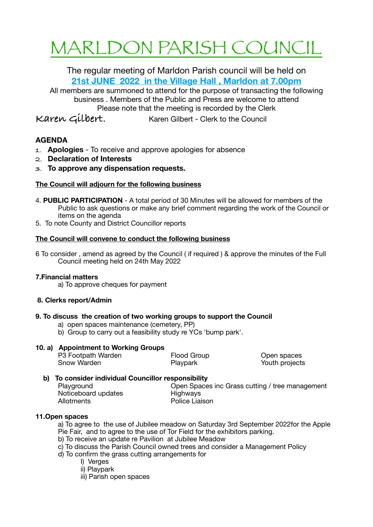# MARLDON PARISH COUNCIL

The regular meeting of Marldon Parish council will be held on **21st JUNE 2022 in the Village Hall , Marldon at 7.00pm** 

All members are summoned to attend for the purpose of transacting the following business . Members of the Public and Press are welcome to attend Please note that the meeting is recorded by the Clerk

**Karen Gilbert.** Karen Gilbert - Clerk to the Council

# **AGENDA**

- **1. Apologies**  To receive and approve apologies for absence
- **2. Declaration of Interests**
- **3. To approve any dispensation requests.**

## **The Council will adjourn for the following business**

- 4. **PUBLIC PARTICIPATION**  A total period of 30 Minutes will be allowed for members of the Public to ask questions or make any brief comment regarding the work of the Council or items on the agenda
- 5. To note County and District Councillor reports

## **The Council will convene to conduct the following business**

6 To consider , amend as agreed by the Council ( if required ) & approve the minutes of the Full Council meeting held on 24th May 2022

## **7.Financial matters**

a) To approve cheques for payment

## **8. Clerks report/Admin**

## **9. To discuss the creation of two working groups to support the Council**

- a) open spaces maintenance (cemetery, PP)
- b) Group to carry out a feasibility study re YCs 'bump park'.

## **10. a) Appointment to Working Groups**

| P3 Footpath Warden | Flood Group | Open spaces    |
|--------------------|-------------|----------------|
| Snow Warden        | Playpark    | Youth projects |

## **b) To consider individual Councillor responsibility**

Playground **Deen Spaces inc Grass cutting / tree management** Noticeboard updates **Highways** Allotments **Contract Contract Contract Police Liaison** 

## **11.Open spaces**

a) To agree to the use of Jubilee meadow on Saturday 3rd September 2022for the Apple Pie Fair, and to agree to the use of Tor Field for the exhibitors parking.

- b) To receive an update re Pavilion at Jubilee Meadow
- c) To discuss the Parish Council owned trees and consider a Management Policy
- d) To confirm the grass cutting arrangements for
	- I) Verges
	- ii) Playpark
	- iii) Parish open spaces